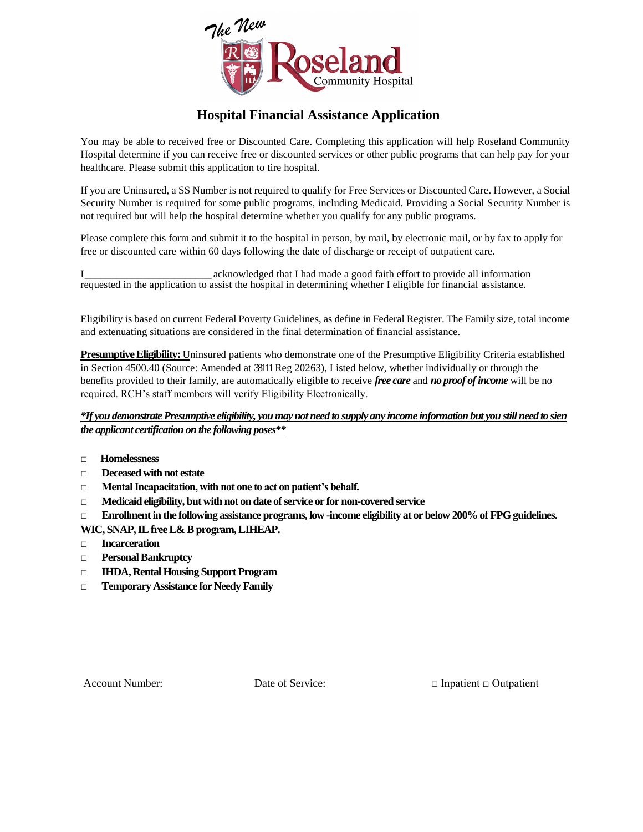

# **Hospital Financial Assistance Application**

You may be able to received free or Discounted Care. Completing this application will help Roseland Community Hospital determine if you can receive free or discounted services or other public programs that can help pay for your healthcare. Please submit this application to tire hospital.

If you are Uninsured, a SS Number is not required to qualify for Free Services or Discounted Care. However, a Social Security Number is required for some public programs, including Medicaid. Providing a Social Security Number is not required but will help the hospital determine whether you qualify for any public programs.

Please complete this form and submit it to the hospital in person, by mail, by electronic mail, or by fax to apply for free or discounted care within 60 days following the date of discharge or receipt of outpatient care.

I acknowledged that I had made a good faith effort to provide all information requested in the application to assist the hospital in determining whether I eligible for financial assistance.

Eligibility is based on current Federal Poverty Guidelines, as define in Federal Register. The Family size, total income and extenuating situations are considered in the final determination of financial assistance.

**Presumptive Eligibility:** Uninsured patients who demonstrate one of the Presumptive Eligibility Criteria established in Section 4500.40 (Source: Amended at 38111 Reg 20263), Listed below, whether individually or through the benefits provided to their family, are automatically eligible to receive *free care* and *no proof ofincome* will be no required. RCH's staff members will verify Eligibility Electronically.

# *\*If you demonstrate Presumptive eligibility, you may not need to supply any income information but you still need to sien the applicant certification on the following poses\*\**

- **□ Homelessness**
- **□ Deceased with not estate**
- **□ Mental Incapacitation, with not one to act on patient's behalf.**
- **□ Medicaid eligibility, but with not on date of service or for non-covered service**
- **□ Enrollment in the following assistance programs, low -income eligibility at or below 200% of FPG guidelines.**

**WIC, SNAP, IL free L& B program, LIHEAP.**

- **□ Incarceration**
- **□ Personal Bankruptcy**
- **□ IHDA, Rental Housing Support Program**
- **□ Temporary Assistance for Needy Family**

Account Number: Date of Service: □ Inpatient □ Outpatient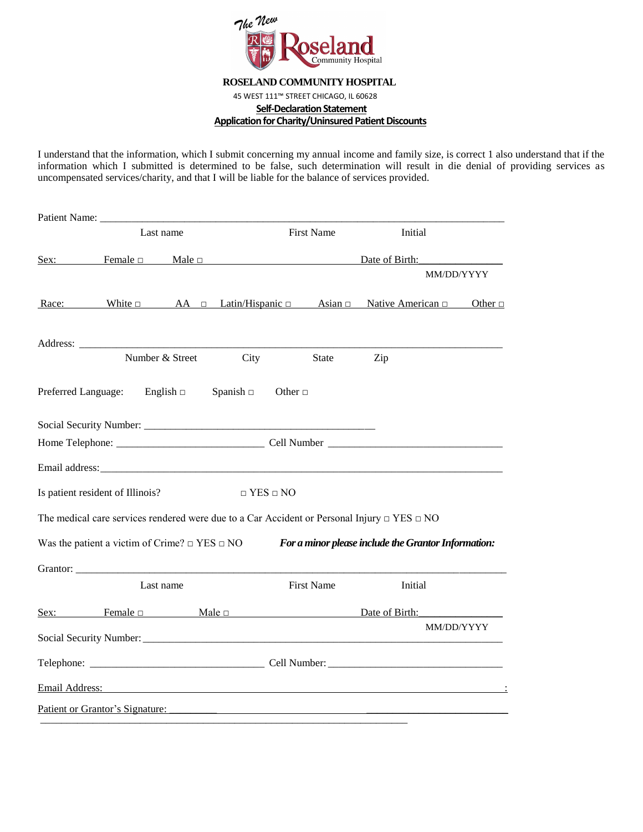

# **ROSELAND COMMUNITY HOSPITAL**

45 WEST 111™ STREET CHICAGO, IL 60628

## **Self-Declaration Statement**

# **Application for Charity/Uninsured Patient Discounts**

I understand that the information, which I submit concerning my annual income and family size, is correct 1 also understand that if the information which I submitted is determined to be false, such determination will result in die denial of providing services as uncompensated services/charity, and that I will be liable for the balance of services provided.

|                     |                                                         | Last name       |                                  | <b>First Name</b> | Initial                                                                                               |              |
|---------------------|---------------------------------------------------------|-----------------|----------------------------------|-------------------|-------------------------------------------------------------------------------------------------------|--------------|
|                     |                                                         |                 | $Sex:$ Female $\Box$ Male $\Box$ |                   | Date of Birth:                                                                                        |              |
|                     |                                                         |                 |                                  |                   |                                                                                                       | MM/DD/YYYY   |
| Race:               |                                                         |                 |                                  |                   | White $\Box$ AA $\Box$ Latin/Hispanic $\Box$ Asian $\Box$ Native American $\Box$                      | Other $\Box$ |
|                     |                                                         |                 |                                  |                   |                                                                                                       |              |
|                     |                                                         | Number & Street | City                             | State             | Zip                                                                                                   |              |
| Preferred Language: | English $\Box$                                          |                 | Spanish $\square$                | Other $\Box$      |                                                                                                       |              |
|                     |                                                         |                 |                                  |                   |                                                                                                       |              |
|                     |                                                         |                 |                                  |                   |                                                                                                       |              |
|                     |                                                         |                 |                                  |                   |                                                                                                       |              |
|                     | Is patient resident of Illinois?                        |                 | $\Box$ YES $\Box$ NO             |                   |                                                                                                       |              |
|                     |                                                         |                 |                                  |                   | The medical care services rendered were due to a Car Accident or Personal Injury $\Box$ YES $\Box$ NO |              |
|                     | Was the patient a victim of Crime? $\Box$ YES $\Box$ NO |                 |                                  |                   | For a minor please include the Grantor Information:                                                   |              |
|                     |                                                         |                 |                                  |                   |                                                                                                       |              |
|                     |                                                         | Last name       |                                  | <b>First Name</b> | Initial                                                                                               |              |
|                     |                                                         |                 | Sex: Female $\Box$ Male $\Box$   |                   | Date of Birth:                                                                                        |              |
|                     |                                                         |                 |                                  |                   | Social Security Number: New York Contact the Social Security Number:                                  | MM/DD/YYYY   |
|                     |                                                         |                 |                                  |                   |                                                                                                       |              |
| Email Address:      |                                                         |                 |                                  |                   | <u> 1989 - Johann John Stone, meilich aus der Stone († 1989)</u>                                      |              |
|                     |                                                         |                 | Patient or Grantor's Signature:  |                   |                                                                                                       |              |
|                     |                                                         |                 |                                  |                   |                                                                                                       |              |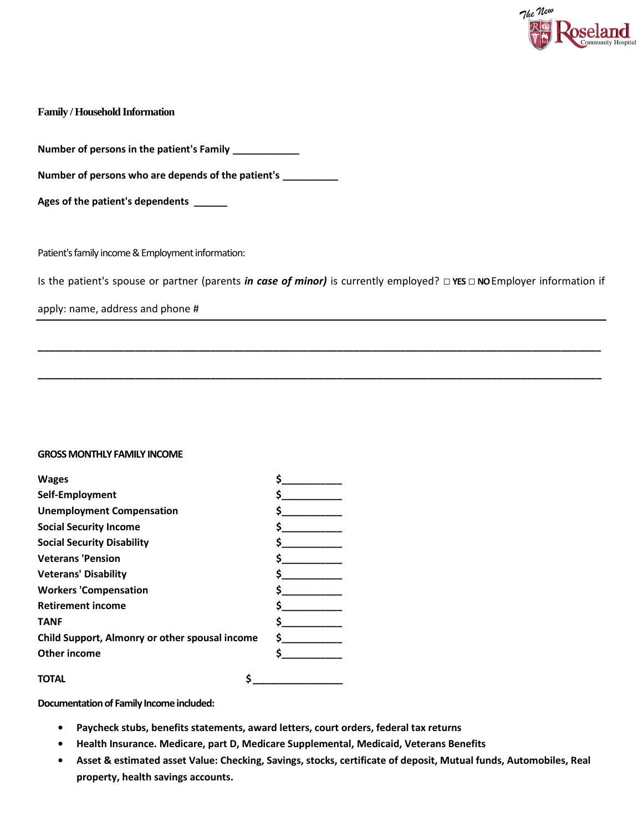

## **Family / Household Information**

**Number of persons in the patient's Family \_\_\_\_\_\_\_\_\_\_\_\_**

**Number of persons who are depends of the patient's \_\_\_\_\_\_\_\_\_\_**

**Ages of the patient's dependents \_\_\_\_\_\_**

Patient's family income & Employment information:

Is the patient's spouse or partner (parents *in case of minor)* is currently employed? **□YES □ NO**Employer information if

**\_\_\_\_\_\_\_\_\_\_\_\_\_\_\_\_\_\_\_\_\_\_\_\_\_\_\_\_\_\_\_\_\_\_\_\_\_\_\_\_\_\_\_\_\_\_\_\_\_\_\_\_\_\_\_\_\_\_\_\_\_\_\_\_\_\_\_\_\_\_\_\_\_\_\_\_\_\_\_\_\_\_\_\_\_\_\_\_\_\_\_\_\_\_\_\_\_\_**

**\_\_\_\_\_\_\_\_\_\_\_\_\_\_\_\_\_\_\_\_\_\_\_\_\_\_\_\_\_\_\_\_\_\_\_\_\_\_\_\_\_\_\_\_\_\_\_\_\_\_\_\_\_\_\_\_\_\_\_\_\_\_\_\_\_\_\_\_\_\_\_\_\_\_\_\_\_\_\_\_\_\_\_\_\_\_\_\_\_\_\_\_\_\_\_\_\_\_**

apply: name, address and phone #

#### **GROSS MONTHLY FAMILY INCOME**

| <b>Wages</b>                                   |  |
|------------------------------------------------|--|
| Self-Employment                                |  |
| <b>Unemployment Compensation</b>               |  |
| <b>Social Security Income</b>                  |  |
| <b>Social Security Disability</b>              |  |
| <b>Veterans 'Pension</b>                       |  |
| <b>Veterans' Disability</b>                    |  |
| <b>Workers 'Compensation</b>                   |  |
| <b>Retirement income</b>                       |  |
| <b>TANF</b>                                    |  |
| Child Support, Almonry or other spousal income |  |
| Other income                                   |  |
| IOIAL                                          |  |

**Documentation of Family Income included:**

- **• Paycheck stubs, benefits statements, award letters, court orders, federal tax returns**
- **• Health Insurance. Medicare, part D, Medicare Supplemental, Medicaid, Veterans Benefits**
- **• Asset & estimated asset Value: Checking, Savings, stocks, certificate of deposit, Mutual funds, Automobiles, Real property, health savings accounts.**